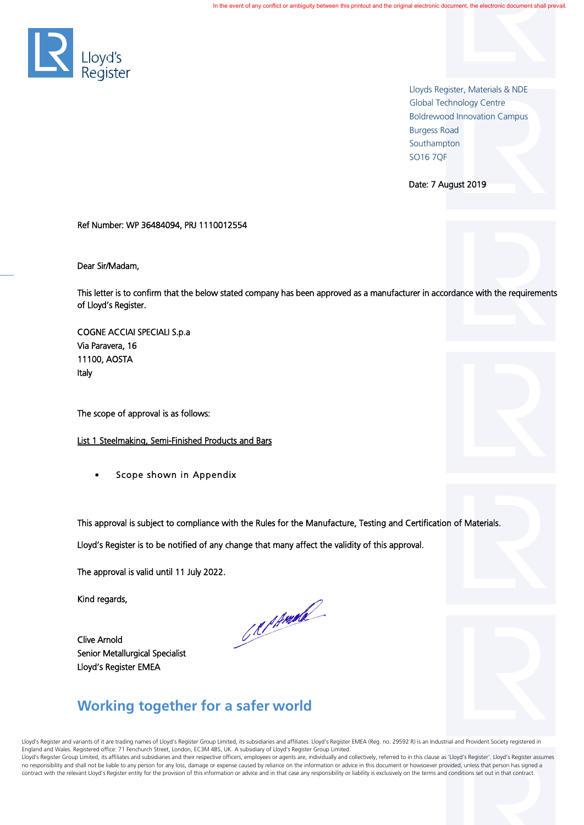

 Lloyds Register, Materials & NDE Global Technology Centre Boldrewood Innovation Campus Burgess Road Southampton SO 16 7QF  $\sim$  50  $\sim$  50  $\sim$  50  $\sim$  50  $\sim$  50  $\sim$  50  $\sim$  50  $\sim$  50  $\sim$  50  $\sim$  50  $\sim$  50  $\sim$  50  $\sim$  50  $\sim$  50  $\sim$  50  $\sim$  50  $\sim$  50  $\sim$  50  $\sim$  50  $\sim$  50  $\sim$  50  $\sim$  50  $\sim$  50  $\sim$  50  $\sim$  50  $\sim$  50  $\sim$ 

Date: 7 August 2019

Ref Number: WP 36484094, PRJ 1110012554

Dear Sir/Madam,

This letter is to confirm that the below stated company has been approved as a manufacturer in accordance with the requirements of Lloyd's Register.

COGNE ACCIAI SPECIALI S.p.a Via Paravera, 16 11100, AOSTA Italy

The scope of approval is as follows:

List 1 Steelmaking, Semi-Finished Products and Bars

Scope shown in Appendix

This approval is subject to compliance with the Rules for the Manufacture, Testing and Certification of Materials.

Lloyd's Register is to be notified of any change that many affect the validity of this approval.

The approval is valid until 11 July 2022.

Kind regards,

Clive Arnold Senior Metallurgical Specialist Lloyd's Register EMEA

CRIPANIE

## **Working together for a safer world**

Lloyd's Register and variants of it are trading names of Lloyd's Register Group Limited, its subsidiaries and affiliates. Lloyd's Register EMEA (Reg. no. 29592 R) is an Industrial and Provident Society registered in England and Wales. Registered office: 71 Fenchurch Street, London, EC3M 4BS, UK. A subsidiary of Lloyd's Register Group Limited. Lloyd's Register Group Limited, its affiliates and subsidiaries and their respective officers, employees or agents are, individually and collectively, referred to in this clause as 'Lloyd's Register'. Lloyd's Register assu no responsibility and shall not be liable to any person for any loss, damage or expense caused by reliance on the information or advice in this document or howsoever provided, unless that person has signed a contract with the relevant Lloyd's Register entity for the provision of this information or advice and in that case any responsibility or liability is exclusively on the terms and conditions set out in that contract.